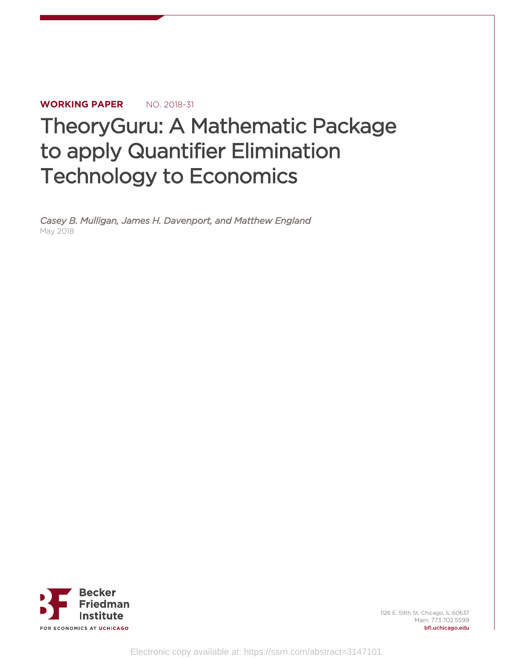# **WORKING PAPER** · NO. 2018-31

# TheoryGuru: A Mathematic Package to apply Quantifier Elimination Technology to Economics

*Casey B. Mulligan, James H. Davenport, and Matthew England* May 2018



1126 E. 59th St, Chicago, IL 60637 Main: 773.702.5599 bfi.uchicago.edu

Electronic copy available at: https://ssrn.com/abstract=3147101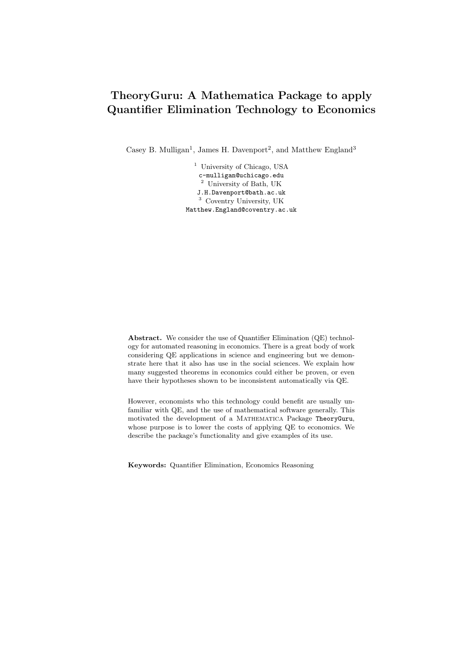# TheoryGuru: A Mathematica Package to apply Quantifier Elimination Technology to Economics

Casey B. Mulligan<sup>1</sup>, James H. Davenport<sup>2</sup>, and Matthew England<sup>3</sup>

<sup>1</sup> University of Chicago, USA c-mulligan@uchicago.edu <sup>2</sup> University of Bath, UK J.H.Davenport@bath.ac.uk <sup>3</sup> Coventry University, UK Matthew.England@coventry.ac.uk

Abstract. We consider the use of Quantifier Elimination (QE) technology for automated reasoning in economics. There is a great body of work considering QE applications in science and engineering but we demonstrate here that it also has use in the social sciences. We explain how many suggested theorems in economics could either be proven, or even have their hypotheses shown to be inconsistent automatically via QE.

However, economists who this technology could benefit are usually unfamiliar with QE, and the use of mathematical software generally. This motivated the development of a Mathematica Package TheoryGuru, whose purpose is to lower the costs of applying QE to economics. We describe the package's functionality and give examples of its use.

Keywords: Quantifier Elimination, Economics Reasoning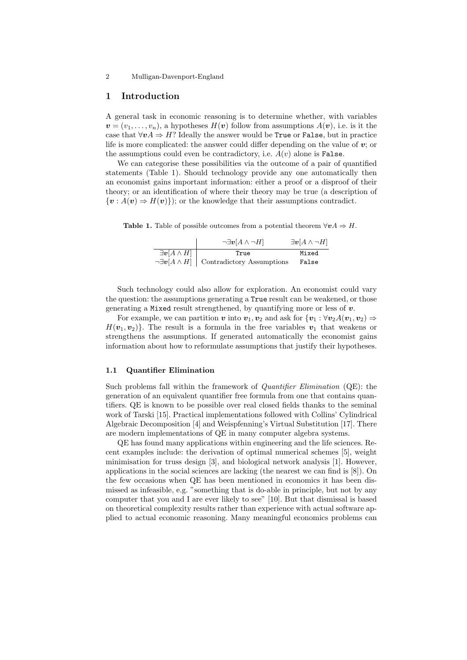#### 2 Mulligan-Davenport-England

#### 1 Introduction

A general task in economic reasoning is to determine whether, with variables  $v = (v_1, \ldots, v_n)$ , a hypotheses  $H(v)$  follow from assumptions  $A(v)$ , i.e. is it the case that  $\forall v A \Rightarrow H$ ? Ideally the answer would be **True** or **False**, but in practice life is more complicated: the answer could differ depending on the value of  $v$ ; or the assumptions could even be contradictory, i.e.  $A(v)$  alone is False.

We can categorise these possibilities via the outcome of a pair of quantified statements (Table 1). Should technology provide any one automatically then an economist gains important information: either a proof or a disproof of their theory; or an identification of where their theory may be true (a description of  $\{v : A(v) \Rightarrow H(v)\}\;$ ; or the knowledge that their assumptions contradict.

**Table 1.** Table of possible outcomes from a potential theorem  $\forall v A \Rightarrow H$ .

|                         | $\neg \exists v[A \wedge \neg H]$                           | $\exists v[A \wedge \neg H]$ |
|-------------------------|-------------------------------------------------------------|------------------------------|
| $\exists v[A \wedge H]$ | True                                                        | Mixed                        |
|                         | $\neg \exists v[A \wedge H] \mid$ Contradictory Assumptions | False                        |

Such technology could also allow for exploration. An economist could vary the question: the assumptions generating a True result can be weakened, or those generating a Mixed result strengthened, by quantifying more or less of  $v$ .

For example, we can partition v into  $v_1, v_2$  and ask for  $\{v_1 : \forall v_2 A(v_1, v_2) \Rightarrow$  $H(\boldsymbol{v}_1, \boldsymbol{v}_2)$ . The result is a formula in the free variables  $\boldsymbol{v}_1$  that weakens or strengthens the assumptions. If generated automatically the economist gains information about how to reformulate assumptions that justify their hypotheses.

#### 1.1 Quantifier Elimination

Such problems fall within the framework of Quantifier Elimination (QE): the generation of an equivalent quantifier free formula from one that contains quantifiers. QE is known to be possible over real closed fields thanks to the seminal work of Tarski [15]. Practical implementations followed with Collins' Cylindrical Algebraic Decomposition [4] and Weispfenning's Virtual Substitution [17]. There are modern implementations of QE in many computer algebra systems.

QE has found many applications within engineering and the life sciences. Recent examples include: the derivation of optimal numerical schemes [5], weight minimisation for truss design [3], and biological network analysis [1]. However, applications in the social sciences are lacking (the nearest we can find is [8]). On the few occasions when QE has been mentioned in economics it has been dismissed as infeasible, e.g. "something that is do-able in principle, but not by any computer that you and I are ever likely to see" [10]. But that dismissal is based on theoretical complexity results rather than experience with actual software applied to actual economic reasoning. Many meaningful economics problems can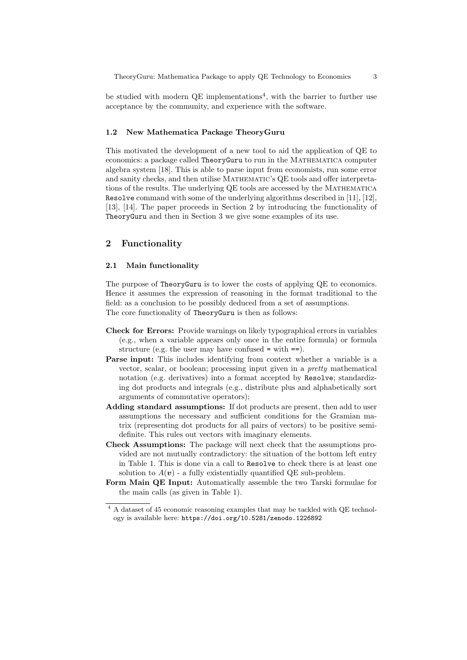be studied with modern QE implementations<sup>4</sup>, with the barrier to further use acceptance by the community, and experience with the software.

#### 1.2 New Mathematica Package TheoryGuru

This motivated the development of a new tool to aid the application of QE to economics: a package called TheoryGuru to run in the Mathematica computer algebra system [18]. This is able to parse input from economists, run some error and sanity checks, and then utilise MATHEMATIC's QE tools and offer interpretations of the results. The underlying QE tools are accessed by the Mathematica Resolve command with some of the underlying algorithms described in [11], [12], [13], [14]. The paper proceeds in Section 2 by introducing the functionality of TheoryGuru and then in Section 3 we give some examples of its use.

## 2 Functionality

#### 2.1 Main functionality

The purpose of TheoryGuru is to lower the costs of applying QE to economics. Hence it assumes the expression of reasoning in the format traditional to the field: as a conclusion to be possibly deduced from a set of assumptions. The core functionality of TheoryGuru is then as follows:

- Check for Errors: Provide warnings on likely typographical errors in variables (e.g., when a variable appears only once in the entire formula) or formula structure (e.g. the user may have confused  $=$  with  $==$ ).
- Parse input: This includes identifying from context whether a variable is a vector, scalar, or boolean; processing input given in a pretty mathematical notation (e.g. derivatives) into a format accepted by Resolve; standardizing dot products and integrals (e.g., distribute plus and alphabetically sort arguments of commutative operators);
- Adding standard assumptions: If dot products are present, then add to user assumptions the necessary and sufficient conditions for the Gramian matrix (representing dot products for all pairs of vectors) to be positive semidefinite. This rules out vectors with imaginary elements.
- Check Assumptions: The package will next check that the assumptions provided are not mutually contradictory: the situation of the bottom left entry in Table 1. This is done via a call to Resolve to check there is at least one solution to  $A(v)$  - a fully existentially quantified QE sub-problem.
- Form Main QE Input: Automatically assemble the two Tarski formulae for the main calls (as given in Table 1).

<sup>4</sup> A dataset of 45 economic reasoning examples that may be tackled with QE technology is available here: https://doi.org/10.5281/zenodo.1226892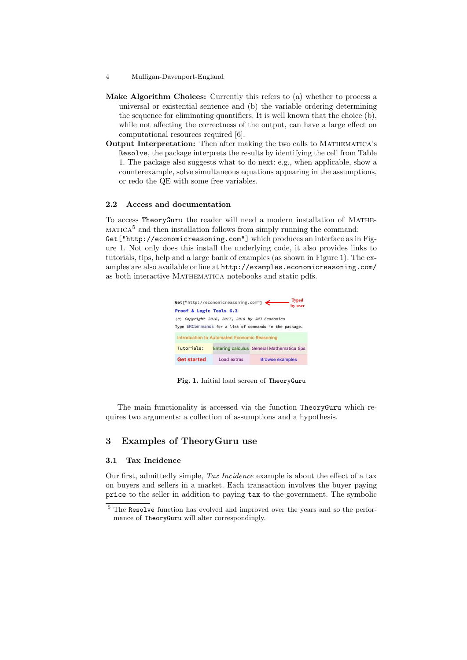- 4 Mulligan-Davenport-England
- Make Algorithm Choices: Currently this refers to (a) whether to process a universal or existential sentence and (b) the variable ordering determining the sequence for eliminating quantifiers. It is well known that the choice (b), while not affecting the correctness of the output, can have a large effect on computational resources required [6].
- Output Interpretation: Then after making the two calls to MATHEMATICA's Resolve, the package interprets the results by identifying the cell from Table 1. The package also suggests what to do next: e.g., when applicable, show a counterexample, solve simultaneous equations appearing in the assumptions, or redo the QE with some free variables.

#### 2.2 Access and documentation

To access TheoryGuru the reader will need a modern installation of Mathe- $MATICA<sup>5</sup>$  and then installation follows from simply running the command: Get["http://economicreasoning.com"] which produces an interface as in Figure 1. Not only does this install the underlying code, it also provides links to tutorials, tips, help and a large bank of examples (as shown in Figure 1). The examples are also available online at http://examples.economicreasoning.com/ as both interactive MATHEMATICA notebooks and static pdfs.



Fig. 1. Initial load screen of TheoryGuru

The main functionality is accessed via the function TheoryGuru which requires two arguments: a collection of assumptions and a hypothesis.

#### 3 Examples of TheoryGuru use

### 3.1 Tax Incidence

Our first, admittedly simple, Tax Incidence example is about the effect of a tax on buyers and sellers in a market. Each transaction involves the buyer paying price to the seller in addition to paying tax to the government. The symbolic

<sup>5</sup> The Resolve function has evolved and improved over the years and so the performance of TheoryGuru will alter correspondingly.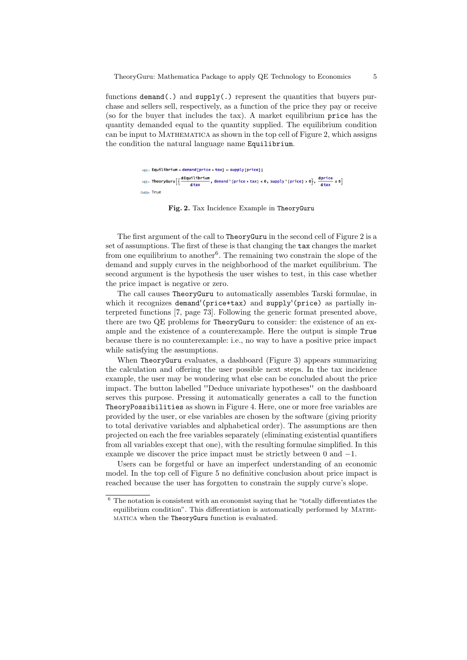functions  $demand(.)$  and  $supply(.)$  represent the quantities that buyers purchase and sellers sell, respectively, as a function of the price they pay or receive (so for the buyer that includes the tax). A market equilibrium price has the quantity demanded equal to the quantity supplied. The equilibrium condition can be input to Mathematica as shown in the top cell of Figure 2, which assigns the condition the natural language name Equilibrium.

```
ln(2) = Equilibrium = demand [price + tax] = supply [price];
\log_{10} TheoryGuru\left[\left\{\frac{\text{defquilibrium}}{\text{star}}\right\}, demand '[price + tax] < 0, supply '[price] > 0], \frac{\text{dprice}}{\text{star}} s 0]
                                 dtax
Outlate True
```
#### Fig. 2. Tax Incidence Example in TheoryGuru

The first argument of the call to TheoryGuru in the second cell of Figure 2 is a set of assumptions. The first of these is that changing the tax changes the market from one equilibrium to another<sup>6</sup>. The remaining two constrain the slope of the demand and supply curves in the neighborhood of the market equilibrium. The second argument is the hypothesis the user wishes to test, in this case whether the price impact is negative or zero.

The call causes TheoryGuru to automatically assembles Tarski formulae, in which it recognizes demand'(price+tax) and supply'(price) as partially interpreted functions [7, page 73]. Following the generic format presented above, there are two QE problems for TheoryGuru to consider: the existence of an example and the existence of a counterexample. Here the output is simple True because there is no counterexample: i.e., no way to have a positive price impact while satisfying the assumptions.

When TheoryGuru evaluates, a dashboard (Figure 3) appears summarizing the calculation and offering the user possible next steps. In the tax incidence example, the user may be wondering what else can be concluded about the price impact. The button labelled ''Deduce univariate hypotheses'' on the dashboard serves this purpose. Pressing it automatically generates a call to the function TheoryPossibilities as shown in Figure 4. Here, one or more free variables are provided by the user, or else variables are chosen by the software (giving priority to total derivative variables and alphabetical order). The assumptions are then projected on each the free variables separately (eliminating existential quantifiers from all variables except that one), with the resulting formulae simplified. In this example we discover the price impact must be strictly between 0 and −1.

Users can be forgetful or have an imperfect understanding of an economic model. In the top cell of Figure 5 no definitive conclusion about price impact is reached because the user has forgotten to constrain the supply curve's slope.

 $6$  The notation is consistent with an economist saying that he "totally differentiates the equilibrium condition". This differentiation is automatically performed by Mathematica when the TheoryGuru function is evaluated.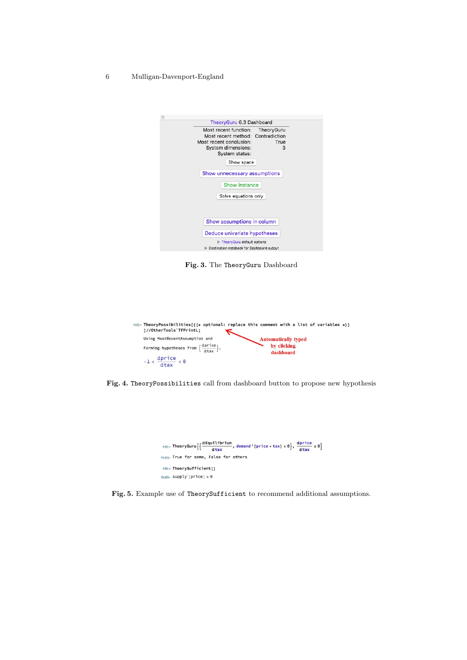6 Mulligan-Davenport-England

| TheoryGuru 6.3 Dashboard                                                                                                                                            |
|---------------------------------------------------------------------------------------------------------------------------------------------------------------------|
| Most recent function: TheoryGuru<br>Most recent method: Contradiction<br>Most recent conclusion:<br>True<br><b>System dimensions:</b><br>3<br><b>System status:</b> |
| Show space                                                                                                                                                          |
| Show unnecessary assumptions                                                                                                                                        |
| <b>Show instance</b>                                                                                                                                                |
| Solve equations only                                                                                                                                                |
| Show assumptions in column                                                                                                                                          |
| Deduce univariate hypotheses                                                                                                                                        |
| TheoryGuru default options<br>Destination notebook for Dashboard output                                                                                             |

Fig. 3. The TheoryGuru Dashboard

| ]//OtherTools'TFPrintL;                                                                                        | $\ln(4)$ TheoryPossibilities[{(* optional: replace this comment with a list of variables *)} |
|----------------------------------------------------------------------------------------------------------------|----------------------------------------------------------------------------------------------|
| Using MostRecentAssumption and<br>Forming hypotheses from $\left\{\frac{\text{dprice}}{\text{dtax}}\right\}$ . | <b>Automatically typed</b><br>by clicking<br>dashboard                                       |
| $-1 < \frac{dprice}{dtax} < 0$                                                                                 |                                                                                              |

Fig. 4. TheoryPossibilities call from dashboard button to propose new hypothesis



Fig. 5. Example use of TheorySufficient to recommend additional assumptions.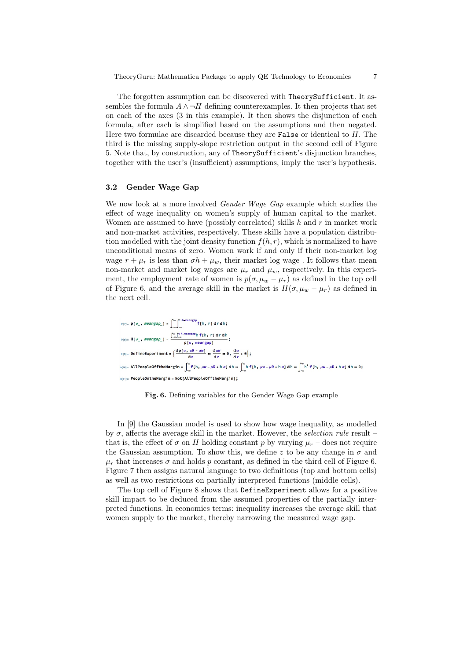The forgotten assumption can be discovered with TheorySufficient. It assembles the formula  $A \wedge \neg H$  defining counterexamples. It then projects that set on each of the axes (3 in this example). It then shows the disjunction of each formula, after each is simplified based on the assumptions and then negated. Here two formulae are discarded because they are **False** or identical to  $H$ . The third is the missing supply-slope restriction output in the second cell of Figure 5. Note that, by construction, any of TheorySufficient's disjunction branches, together with the user's (insufficient) assumptions, imply the user's hypothesis.

#### 3.2 Gender Wage Gap

We now look at a more involved *Gender Wage Gap* example which studies the effect of wage inequality on women's supply of human capital to the market. Women are assumed to have (possibly correlated) skills  $h$  and  $r$  in market work and non-market activities, respectively. These skills have a population distribution modelled with the joint density function  $f(h, r)$ , which is normalized to have unconditional means of zero. Women work if and only if their non-market log wage  $r + \mu_r$  is less than  $\sigma h + \mu_w$ , their market log wage. It follows that mean non-market and market log wages are  $\mu_r$  and  $\mu_w$ , respectively. In this experiment, the employment rate of women is  $p(\sigma, \mu_w - \mu_r)$  as defined in the top cell of Figure 6, and the average skill in the market is  $H(\sigma, \mu_w - \mu_r)$  as defined in the next cell.

$$
h(7):= P[\sigma_{\perp}, \text{meangap}_{\perp}] = \int_{-\infty}^{\infty} \int_{-\infty}^{\infty} h^{-\text{meangap}} f[h, r] dr dh;
$$
  
\n
$$
h(8):= H[\sigma_{\perp}, \text{meangap}_{\perp}] = \frac{\int_{-\infty}^{\infty} \int_{-\infty}^{\infty} h^{-\text{meangap}} h f[h, r] dr dh}{p[\sigma, \text{meangap}]};
$$
  
\n
$$
h(9):= DefineExperiment = \left\{ \frac{dP[\sigma, \mu R - \mu W]}{dz} \right\} = \frac{d\mu w}{dz} = \theta, \frac{d\sigma}{dz} > \theta \};
$$
  
\n
$$
h(10):= A1! PeopleOffthe Margin = \int_{-\infty}^{\infty} f[h, \mu w - \mu R + h \sigma] dh = \int_{-\infty}^{\infty} h f[h, \mu w - \mu R + h \sigma] dh = \int_{-\infty}^{\infty} h^2 f[h, \mu w - \mu R + h \sigma] dh = \theta;
$$
  
\n
$$
h(11):= PeopleOntheMargin = Not[AlIPeopleOfftheMargin];
$$

Fig. 6. Defining variables for the Gender Wage Gap example

In [9] the Gaussian model is used to show how wage inequality, as modelled by  $\sigma$ , affects the average skill in the market. However, the selection rule result – that is, the effect of  $\sigma$  on H holding constant p by varying  $\mu_r$  – does not require the Gaussian assumption. To show this, we define z to be any change in  $\sigma$  and  $\mu_r$  that increases  $\sigma$  and holds p constant, as defined in the third cell of Figure 6. Figure 7 then assigns natural language to two definitions (top and bottom cells) as well as two restrictions on partially interpreted functions (middle cells).

The top cell of Figure 8 shows that DefineExperiment allows for a positive skill impact to be deduced from the assumed properties of the partially interpreted functions. In economics terms: inequality increases the average skill that women supply to the market, thereby narrowing the measured wage gap.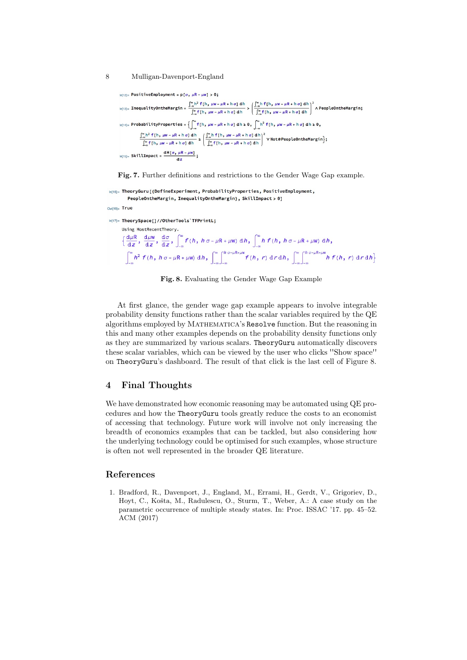8 Mulligan-Davenport-England

```
ln[12] = PositiveEmployment = p[\sigma, \mu R - \mu w] > 0;
\ln_{[13]=} \text{InequalityOntheMargin} = \frac{\int_{-\infty}^{\infty} h^2 f(h, \mu w - \mu R + h \sigma] \, dh}{\int_{-\infty}^{\infty} f(h, \mu w - \mu R + h \sigma] \, dh} > \left( \frac{\int_{-\infty}^{\infty} h f(h, \mu w - \mu R + h \sigma] \, dh}{\int_{-\infty}^{\infty} f(h, \mu w - \mu R + h \sigma] \, dh} \right)^2 \wedge \text{PeopleOntheMargin, }\ln(14) = \text{ProbabilityProperties} = \left\{ \int_{-\infty}^{\infty} f(h, \mu w - \mu R + h \sigma) \, dh \ge 0, \int_{-\infty}^{\infty} h^2 f(h, \mu w - \mu R + h \sigma) \, dh \ge 0, \right\}\frac{\int_{-\infty}^{\infty} h^2 f(h, \mu w - \mu R + h \sigma] \, dh}{\int_{-\infty}^{\infty} f(h, \mu w - \mu R + h \sigma] \, dh} \ge \left( \frac{\int_{-\infty}^{\infty} h f(h, \mu w - \mu R + h \sigma] \, dh}{\int_{-\infty}^{\infty} f(h, \mu w - \mu R + h \sigma] \, dh} \right)^2 \, \text{V} \text{Note} \text{People} \text{On the } M \text{arg} \text{in} \right\};ln[15]= SkillImpact = \frac{dH[\sigma, \mu R - \mu W]}{dz};
```
Fig. 7. Further definitions and restrictions to the Gender Wage Gap example.

```
In[16]:= TheoryGuru [{DefineExperiment, ProbabilityProperties, PositiveEmployment,
                PeopleOntheMargin, InequalityOntheMargin}, SkillImpact > 0]
Outline True
In[17]= TheorySpace[]//OtherTools'TFPrintL;
           Using MostRecentTheory.
           \Big\{\frac{{\rm d}\mu{\rm R}}{{\rm d} z}\:,\:\frac{{\rm d}\mu{\rm w}}{{\rm d} z}\:,\:\frac{{\rm d}\sigma}{{\rm d} z}\:,\:\int_{-\infty}^\infty f\left(h\:{,}\\:h\:\sigma\:\textit{-}\:\mu{\rm R}\:\textit{+}\:\mu{\rm w}\right)\: {\rm d} h\:\textit{,}\:\int_{-\infty}^\infty h\:\:f\left(h\:{,}\:\:h\:\sigma\:\textit{-}\:\mu{\rm R}\:\textit{+}\:\mu{\rm w}\right)\: {\rm d} h\:\textit{,}\int_{-\infty}^{\infty} h^2 f(h, h \sigma - \mu R + \mu w) dh, \int_{-\infty}^{\infty} \int_{-\infty}^{h \sigma - \mu R + \mu w} f(h, r) dr dh, \int_{-\infty}^{\infty} \int_{-\infty}^{h \sigma - \mu R + \mu w} h f(h, r) dr dh \}
```
Fig. 8. Evaluating the Gender Wage Gap Example

At first glance, the gender wage gap example appears to involve integrable probability density functions rather than the scalar variables required by the QE algorithms employed by Mathematica's Resolve function. But the reasoning in this and many other examples depends on the probability density functions only as they are summarized by various scalars. TheoryGuru automatically discovers these scalar variables, which can be viewed by the user who clicks ''Show space'' on TheoryGuru's dashboard. The result of that click is the last cell of Figure 8.

### 4 Final Thoughts

We have demonstrated how economic reasoning may be automated using QE procedures and how the TheoryGuru tools greatly reduce the costs to an economist of accessing that technology. Future work will involve not only increasing the breadth of economics examples that can be tackled, but also considering how the underlying technology could be optimised for such examples, whose structure is often not well represented in the broader QE literature.

#### References

1. Bradford, R., Davenport, J., England, M., Errami, H., Gerdt, V., Grigoriev, D., Hoyt, C., Košta, M., Radulescu, O., Sturm, T., Weber, A.: A case study on the parametric occurrence of multiple steady states. In: Proc. ISSAC '17. pp. 45–52. ACM (2017)